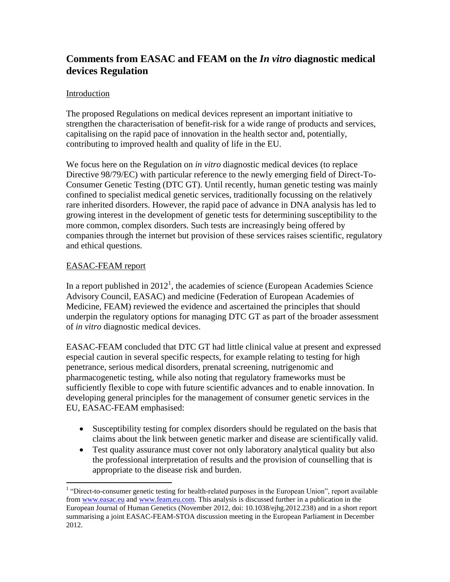# **Comments from EASAC and FEAM on the** *In vitro* **diagnostic medical devices Regulation**

## Introduction

The proposed Regulations on medical devices represent an important initiative to strengthen the characterisation of benefit-risk for a wide range of products and services, capitalising on the rapid pace of innovation in the health sector and, potentially, contributing to improved health and quality of life in the EU.

We focus here on the Regulation on *in vitro* diagnostic medical devices (to replace Directive 98/79/EC) with particular reference to the newly emerging field of Direct-To-Consumer Genetic Testing (DTC GT). Until recently, human genetic testing was mainly confined to specialist medical genetic services, traditionally focussing on the relatively rare inherited disorders. However, the rapid pace of advance in DNA analysis has led to growing interest in the development of genetic tests for determining susceptibility to the more common, complex disorders. Such tests are increasingly being offered by companies through the internet but provision of these services raises scientific, regulatory and ethical questions.

#### EASAC-FEAM report

In a report published in  $2012<sup>1</sup>$ , the academies of science (European Academies Science Advisory Council, EASAC) and medicine (Federation of European Academies of Medicine, FEAM) reviewed the evidence and ascertained the principles that should underpin the regulatory options for managing DTC GT as part of the broader assessment of *in vitro* diagnostic medical devices.

EASAC-FEAM concluded that DTC GT had little clinical value at present and expressed especial caution in several specific respects, for example relating to testing for high penetrance, serious medical disorders, prenatal screening, nutrigenomic and pharmacogenetic testing, while also noting that regulatory frameworks must be sufficiently flexible to cope with future scientific advances and to enable innovation. In developing general principles for the management of consumer genetic services in the EU, EASAC-FEAM emphasised:

- Susceptibility testing for complex disorders should be regulated on the basis that claims about the link between genetic marker and disease are scientifically valid.
- Test quality assurance must cover not only laboratory analytical quality but also the professional interpretation of results and the provision of counselling that is appropriate to the disease risk and burden.

 1 "Direct-to-consumer genetic testing for health-related purposes in the European Union", report available from [www.easac.eu](http://www.easac.eu/) and [www.feam.eu.com.](http://www.feam.eu.com/) This analysis is discussed further in a publication in the European Journal of Human Genetics (November 2012, doi: 10.1038/ejhg.2012.238) and in a short report summarising a joint EASAC-FEAM-STOA discussion meeting in the European Parliament in December 2012.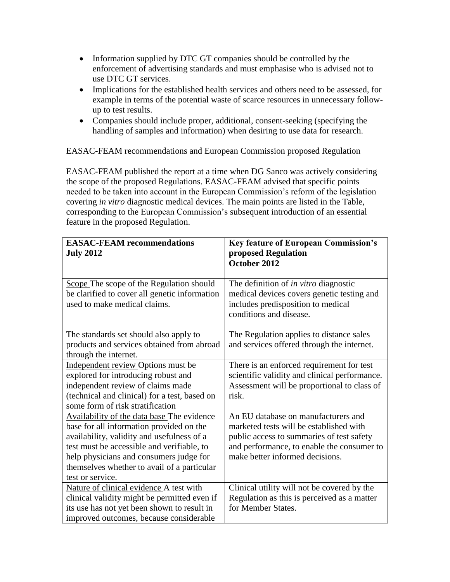- Information supplied by DTC GT companies should be controlled by the enforcement of advertising standards and must emphasise who is advised not to use DTC GT services.
- Implications for the established health services and others need to be assessed, for example in terms of the potential waste of scarce resources in unnecessary followup to test results.
- Companies should include proper, additional, consent-seeking (specifying the handling of samples and information) when desiring to use data for research.

## EASAC-FEAM recommendations and European Commission proposed Regulation

EASAC-FEAM published the report at a time when DG Sanco was actively considering the scope of the proposed Regulations. EASAC-FEAM advised that specific points needed to be taken into account in the European Commission's reform of the legislation covering *in vitro* diagnostic medical devices. The main points are listed in the Table, corresponding to the European Commission's subsequent introduction of an essential feature in the proposed Regulation.

| <b>EASAC-FEAM recommendations</b><br><b>July 2012</b>                                                                                                                                                                                                                                            | <b>Key feature of European Commission's</b><br>proposed Regulation<br>October 2012                                                                                                                           |
|--------------------------------------------------------------------------------------------------------------------------------------------------------------------------------------------------------------------------------------------------------------------------------------------------|--------------------------------------------------------------------------------------------------------------------------------------------------------------------------------------------------------------|
| Scope The scope of the Regulation should<br>be clarified to cover all genetic information<br>used to make medical claims.                                                                                                                                                                        | The definition of in vitro diagnostic<br>medical devices covers genetic testing and<br>includes predisposition to medical<br>conditions and disease.                                                         |
| The standards set should also apply to<br>products and services obtained from abroad<br>through the internet.                                                                                                                                                                                    | The Regulation applies to distance sales<br>and services offered through the internet.                                                                                                                       |
| Independent review Options must be<br>explored for introducing robust and<br>independent review of claims made<br>(technical and clinical) for a test, based on<br>some form of risk stratification                                                                                              | There is an enforced requirement for test<br>scientific validity and clinical performance.<br>Assessment will be proportional to class of<br>risk.                                                           |
| Availability of the data base The evidence<br>base for all information provided on the<br>availability, validity and usefulness of a<br>test must be accessible and verifiable, to<br>help physicians and consumers judge for<br>themselves whether to avail of a particular<br>test or service. | An EU database on manufacturers and<br>marketed tests will be established with<br>public access to summaries of test safety<br>and performance, to enable the consumer to<br>make better informed decisions. |
| Nature of clinical evidence A test with<br>clinical validity might be permitted even if<br>its use has not yet been shown to result in<br>improved outcomes, because considerable                                                                                                                | Clinical utility will not be covered by the<br>Regulation as this is perceived as a matter<br>for Member States.                                                                                             |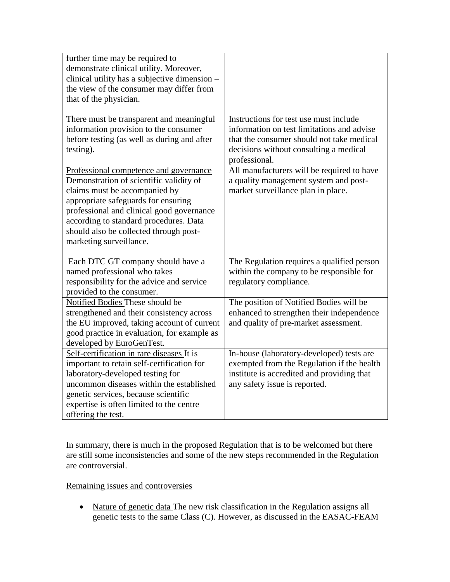| further time may be required to<br>demonstrate clinical utility. Moreover,<br>clinical utility has a subjective dimension -<br>the view of the consumer may differ from<br>that of the physician.<br>There must be transparent and meaningful                                                                         | Instructions for test use must include                                                                                                                                 |
|-----------------------------------------------------------------------------------------------------------------------------------------------------------------------------------------------------------------------------------------------------------------------------------------------------------------------|------------------------------------------------------------------------------------------------------------------------------------------------------------------------|
| information provision to the consumer<br>before testing (as well as during and after<br>testing).                                                                                                                                                                                                                     | information on test limitations and advise<br>that the consumer should not take medical<br>decisions without consulting a medical<br>professional.                     |
| Professional competence and governance<br>Demonstration of scientific validity of<br>claims must be accompanied by<br>appropriate safeguards for ensuring<br>professional and clinical good governance<br>according to standard procedures. Data<br>should also be collected through post-<br>marketing surveillance. | All manufacturers will be required to have<br>a quality management system and post-<br>market surveillance plan in place.                                              |
| Each DTC GT company should have a<br>named professional who takes<br>responsibility for the advice and service<br>provided to the consumer.                                                                                                                                                                           | The Regulation requires a qualified person<br>within the company to be responsible for<br>regulatory compliance.                                                       |
| Notified Bodies These should be<br>strengthened and their consistency across<br>the EU improved, taking account of current<br>good practice in evaluation, for example as<br>developed by EuroGenTest.                                                                                                                | The position of Notified Bodies will be<br>enhanced to strengthen their independence<br>and quality of pre-market assessment.                                          |
| Self-certification in rare diseases It is<br>important to retain self-certification for<br>laboratory-developed testing for<br>uncommon diseases within the established<br>genetic services, because scientific<br>expertise is often limited to the centre<br>offering the test.                                     | In-house (laboratory-developed) tests are<br>exempted from the Regulation if the health<br>institute is accredited and providing that<br>any safety issue is reported. |

In summary, there is much in the proposed Regulation that is to be welcomed but there are still some inconsistencies and some of the new steps recommended in the Regulation are controversial.

# Remaining issues and controversies

• Nature of genetic data The new risk classification in the Regulation assigns all genetic tests to the same Class (C). However, as discussed in the EASAC-FEAM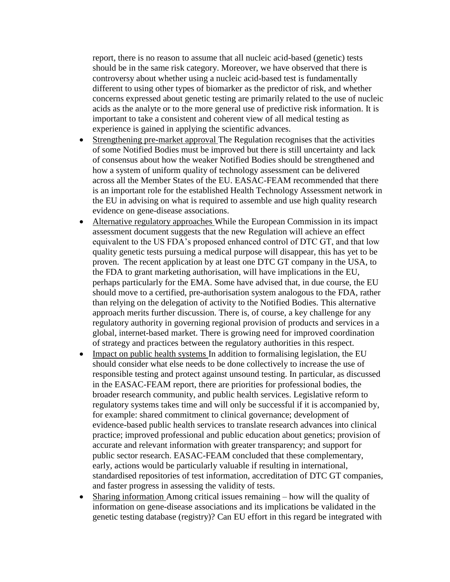report, there is no reason to assume that all nucleic acid-based (genetic) tests should be in the same risk category. Moreover, we have observed that there is controversy about whether using a nucleic acid-based test is fundamentally different to using other types of biomarker as the predictor of risk, and whether concerns expressed about genetic testing are primarily related to the use of nucleic acids as the analyte or to the more general use of predictive risk information. It is important to take a consistent and coherent view of all medical testing as experience is gained in applying the scientific advances.

- Strengthening pre-market approval The Regulation recognises that the activities of some Notified Bodies must be improved but there is still uncertainty and lack of consensus about how the weaker Notified Bodies should be strengthened and how a system of uniform quality of technology assessment can be delivered across all the Member States of the EU. EASAC-FEAM recommended that there is an important role for the established Health Technology Assessment network in the EU in advising on what is required to assemble and use high quality research evidence on gene-disease associations.
- Alternative regulatory approaches While the European Commission in its impact assessment document suggests that the new Regulation will achieve an effect equivalent to the US FDA's proposed enhanced control of DTC GT, and that low quality genetic tests pursuing a medical purpose will disappear, this has yet to be proven. The recent application by at least one DTC GT company in the USA, to the FDA to grant marketing authorisation, will have implications in the EU, perhaps particularly for the EMA. Some have advised that, in due course, the EU should move to a certified, pre-authorisation system analogous to the FDA, rather than relying on the delegation of activity to the Notified Bodies. This alternative approach merits further discussion. There is, of course, a key challenge for any regulatory authority in governing regional provision of products and services in a global, internet-based market. There is growing need for improved coordination of strategy and practices between the regulatory authorities in this respect.
- Impact on public health systems In addition to formalising legislation, the EU should consider what else needs to be done collectively to increase the use of responsible testing and protect against unsound testing. In particular, as discussed in the EASAC-FEAM report, there are priorities for professional bodies, the broader research community, and public health services. Legislative reform to regulatory systems takes time and will only be successful if it is accompanied by, for example: shared commitment to clinical governance; development of evidence-based public health services to translate research advances into clinical practice; improved professional and public education about genetics; provision of accurate and relevant information with greater transparency; and support for public sector research. EASAC-FEAM concluded that these complementary, early, actions would be particularly valuable if resulting in international, standardised repositories of test information, accreditation of DTC GT companies, and faster progress in assessing the validity of tests.
- Sharing information Among critical issues remaining how will the quality of information on gene-disease associations and its implications be validated in the genetic testing database (registry)? Can EU effort in this regard be integrated with